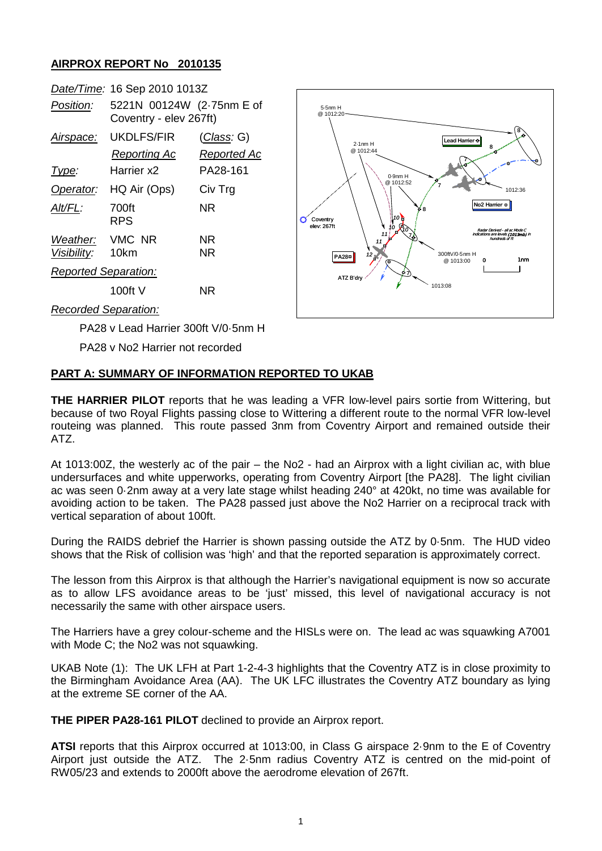## **AIRPROX REPORT No 2010135**

|                                     | Date/Time: 16 Sep 2010 1013Z                        |                                   |
|-------------------------------------|-----------------------------------------------------|-----------------------------------|
| Position:                           | 5221N 00124W (2-75nm E of<br>Coventry - elev 267ft) |                                   |
| <u>Airspace:</u>                    | UKDLFS/FIR<br>Reporting Ac                          | <u>(Class</u> : G)<br>Reported Ac |
| Type:                               | Harrier x2                                          | PA28-161                          |
| Operator:                           | HQ Air (Ops)                                        | Civ Trg                           |
| Alt/FL:                             | 700ft<br>RPS                                        | NR                                |
| Weather: VMC NR<br>Visibility: 10km |                                                     | NR<br>NR                          |
| <b>Reported Separation:</b>         |                                                     |                                   |
|                                     | 100ft V                                             | NR                                |



*Recorded Separation:*

PA28 v Lead Harrier 300ft V/0·5nm H

PA28 v No2 Harrier not recorded

## **PART A: SUMMARY OF INFORMATION REPORTED TO UKAB**

**THE HARRIER PILOT** reports that he was leading a VFR low-level pairs sortie from Wittering, but because of two Royal Flights passing close to Wittering a different route to the normal VFR low-level routeing was planned. This route passed 3nm from Coventry Airport and remained outside their ATZ.

At 1013:00Z, the westerly ac of the pair – the No2 - had an Airprox with a light civilian ac, with blue undersurfaces and white upperworks, operating from Coventry Airport [the PA28]. The light civilian ac was seen 0·2nm away at a very late stage whilst heading 240° at 420kt, no time was available for avoiding action to be taken. The PA28 passed just above the No2 Harrier on a reciprocal track with vertical separation of about 100ft.

During the RAIDS debrief the Harrier is shown passing outside the ATZ by 0·5nm. The HUD video shows that the Risk of collision was 'high' and that the reported separation is approximately correct.

The lesson from this Airprox is that although the Harrier's navigational equipment is now so accurate as to allow LFS avoidance areas to be 'just' missed, this level of navigational accuracy is not necessarily the same with other airspace users.

The Harriers have a grey colour-scheme and the HISLs were on. The lead ac was squawking A7001 with Mode C; the No2 was not squawking.

UKAB Note (1): The UK LFH at Part 1-2-4-3 highlights that the Coventry ATZ is in close proximity to the Birmingham Avoidance Area (AA). The UK LFC illustrates the Coventry ATZ boundary as lying at the extreme SE corner of the AA.

**THE PIPER PA28-161 PILOT** declined to provide an Airprox report.

**ATSI** reports that this Airprox occurred at 1013:00, in Class G airspace 2·9nm to the E of Coventry Airport just outside the ATZ. The 2·5nm radius Coventry ATZ is centred on the mid-point of RW05/23 and extends to 2000ft above the aerodrome elevation of 267ft.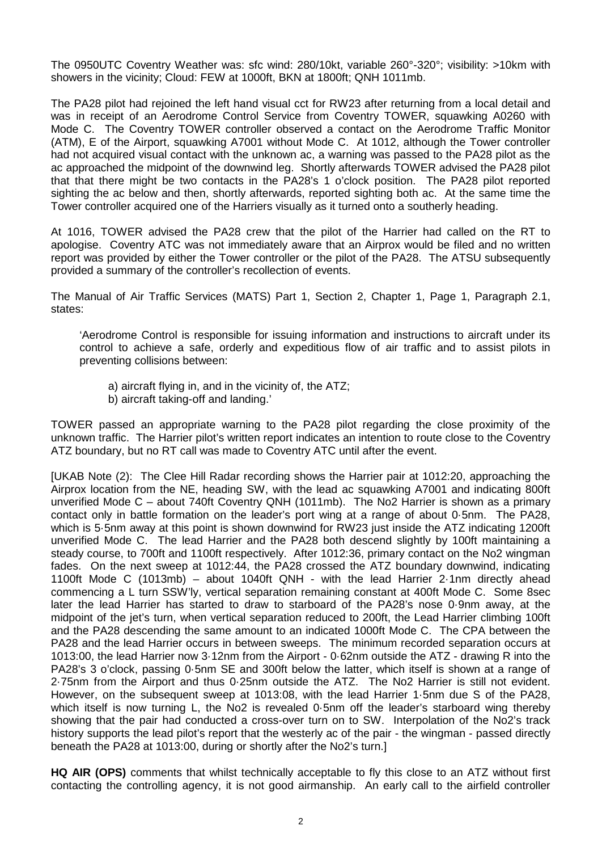The 0950UTC Coventry Weather was: sfc wind: 280/10kt, variable 260°-320°; visibility: >10km with showers in the vicinity; Cloud: FEW at 1000ft, BKN at 1800ft; QNH 1011mb.

The PA28 pilot had rejoined the left hand visual cct for RW23 after returning from a local detail and was in receipt of an Aerodrome Control Service from Coventry TOWER, squawking A0260 with Mode C. The Coventry TOWER controller observed a contact on the Aerodrome Traffic Monitor (ATM), E of the Airport, squawking A7001 without Mode C. At 1012, although the Tower controller had not acquired visual contact with the unknown ac, a warning was passed to the PA28 pilot as the ac approached the midpoint of the downwind leg. Shortly afterwards TOWER advised the PA28 pilot that that there might be two contacts in the PA28's 1 o'clock position. The PA28 pilot reported sighting the ac below and then, shortly afterwards, reported sighting both ac. At the same time the Tower controller acquired one of the Harriers visually as it turned onto a southerly heading.

At 1016, TOWER advised the PA28 crew that the pilot of the Harrier had called on the RT to apologise. Coventry ATC was not immediately aware that an Airprox would be filed and no written report was provided by either the Tower controller or the pilot of the PA28. The ATSU subsequently provided a summary of the controller's recollection of events.

The Manual of Air Traffic Services (MATS) Part 1, Section 2, Chapter 1, Page 1, Paragraph 2.1, states:

'Aerodrome Control is responsible for issuing information and instructions to aircraft under its control to achieve a safe, orderly and expeditious flow of air traffic and to assist pilots in preventing collisions between:

- a) aircraft flying in, and in the vicinity of, the ATZ;
- b) aircraft taking-off and landing.'

TOWER passed an appropriate warning to the PA28 pilot regarding the close proximity of the unknown traffic. The Harrier pilot's written report indicates an intention to route close to the Coventry ATZ boundary, but no RT call was made to Coventry ATC until after the event.

[UKAB Note (2): The Clee Hill Radar recording shows the Harrier pair at 1012:20, approaching the Airprox location from the NE, heading SW, with the lead ac squawking A7001 and indicating 800ft unverified Mode C – about 740ft Coventry QNH (1011mb). The No2 Harrier is shown as a primary contact only in battle formation on the leader's port wing at a range of about 0·5nm. The PA28, which is 5·5nm away at this point is shown downwind for RW23 just inside the ATZ indicating 1200ft unverified Mode C. The lead Harrier and the PA28 both descend slightly by 100ft maintaining a steady course, to 700ft and 1100ft respectively. After 1012:36, primary contact on the No2 wingman fades. On the next sweep at 1012:44, the PA28 crossed the ATZ boundary downwind, indicating 1100ft Mode C (1013mb) – about 1040ft QNH - with the lead Harrier 2·1nm directly ahead commencing a L turn SSW'ly, vertical separation remaining constant at 400ft Mode C. Some 8sec later the lead Harrier has started to draw to starboard of the PA28's nose 0·9nm away, at the midpoint of the jet's turn, when vertical separation reduced to 200ft, the Lead Harrier climbing 100ft and the PA28 descending the same amount to an indicated 1000ft Mode C. The CPA between the PA28 and the lead Harrier occurs in between sweeps. The minimum recorded separation occurs at 1013:00, the lead Harrier now 3·12nm from the Airport - 0·62nm outside the ATZ - drawing R into the PA28's 3 o'clock, passing 0·5nm SE and 300ft below the latter, which itself is shown at a range of 2·75nm from the Airport and thus 0·25nm outside the ATZ. The No2 Harrier is still not evident. However, on the subsequent sweep at 1013:08, with the lead Harrier 1·5nm due S of the PA28, which itself is now turning L, the No2 is revealed 0.5nm off the leader's starboard wing thereby showing that the pair had conducted a cross-over turn on to SW. Interpolation of the No2's track history supports the lead pilot's report that the westerly ac of the pair - the wingman - passed directly beneath the PA28 at 1013:00, during or shortly after the No2's turn.]

**HQ AIR (OPS)** comments that whilst technically acceptable to fly this close to an ATZ without first contacting the controlling agency, it is not good airmanship. An early call to the airfield controller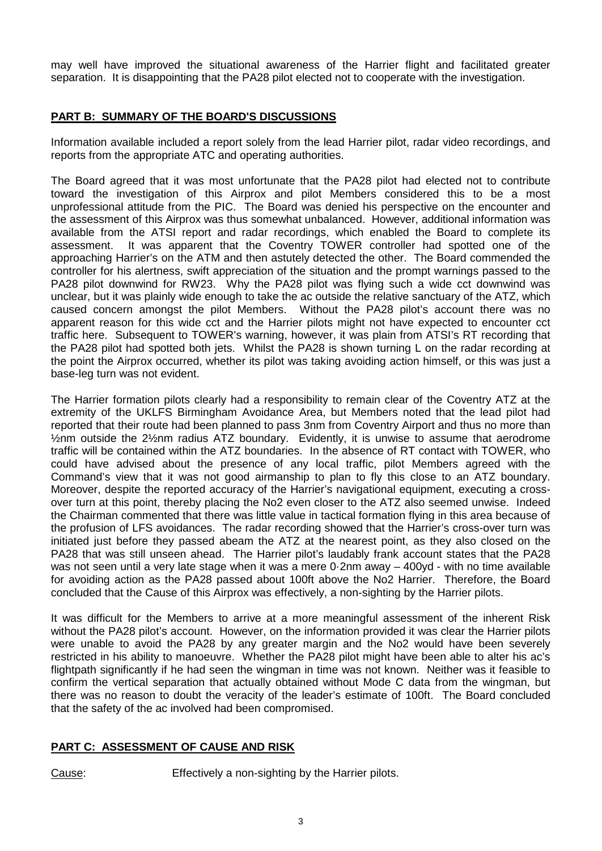may well have improved the situational awareness of the Harrier flight and facilitated greater separation. It is disappointing that the PA28 pilot elected not to cooperate with the investigation.

## **PART B: SUMMARY OF THE BOARD'S DISCUSSIONS**

Information available included a report solely from the lead Harrier pilot, radar video recordings, and reports from the appropriate ATC and operating authorities.

The Board agreed that it was most unfortunate that the PA28 pilot had elected not to contribute toward the investigation of this Airprox and pilot Members considered this to be a most unprofessional attitude from the PIC. The Board was denied his perspective on the encounter and the assessment of this Airprox was thus somewhat unbalanced. However, additional information was available from the ATSI report and radar recordings, which enabled the Board to complete its assessment. It was apparent that the Coventry TOWER controller had spotted one of the approaching Harrier's on the ATM and then astutely detected the other. The Board commended the controller for his alertness, swift appreciation of the situation and the prompt warnings passed to the PA28 pilot downwind for RW23. Why the PA28 pilot was flying such a wide cct downwind was unclear, but it was plainly wide enough to take the ac outside the relative sanctuary of the ATZ, which caused concern amongst the pilot Members. Without the PA28 pilot's account there was no apparent reason for this wide cct and the Harrier pilots might not have expected to encounter cct traffic here. Subsequent to TOWER's warning, however, it was plain from ATSI's RT recording that the PA28 pilot had spotted both jets. Whilst the PA28 is shown turning L on the radar recording at the point the Airprox occurred, whether its pilot was taking avoiding action himself, or this was just a base-leg turn was not evident.

The Harrier formation pilots clearly had a responsibility to remain clear of the Coventry ATZ at the extremity of the UKLFS Birmingham Avoidance Area, but Members noted that the lead pilot had reported that their route had been planned to pass 3nm from Coventry Airport and thus no more than ½nm outside the 2½nm radius ATZ boundary. Evidently, it is unwise to assume that aerodrome traffic will be contained within the ATZ boundaries. In the absence of RT contact with TOWER, who could have advised about the presence of any local traffic, pilot Members agreed with the Command's view that it was not good airmanship to plan to fly this close to an ATZ boundary. Moreover, despite the reported accuracy of the Harrier's navigational equipment, executing a crossover turn at this point, thereby placing the No2 even closer to the ATZ also seemed unwise. Indeed the Chairman commented that there was little value in tactical formation flying in this area because of the profusion of LFS avoidances. The radar recording showed that the Harrier's cross-over turn was initiated just before they passed abeam the ATZ at the nearest point, as they also closed on the PA28 that was still unseen ahead. The Harrier pilot's laudably frank account states that the PA28 was not seen until a very late stage when it was a mere 0.2nm away – 400yd - with no time available for avoiding action as the PA28 passed about 100ft above the No2 Harrier. Therefore, the Board concluded that the Cause of this Airprox was effectively, a non-sighting by the Harrier pilots.

It was difficult for the Members to arrive at a more meaningful assessment of the inherent Risk without the PA28 pilot's account. However, on the information provided it was clear the Harrier pilots were unable to avoid the PA28 by any greater margin and the No2 would have been severely restricted in his ability to manoeuvre. Whether the PA28 pilot might have been able to alter his ac's flightpath significantly if he had seen the wingman in time was not known. Neither was it feasible to confirm the vertical separation that actually obtained without Mode C data from the wingman, but there was no reason to doubt the veracity of the leader's estimate of 100ft. The Board concluded that the safety of the ac involved had been compromised.

## **PART C: ASSESSMENT OF CAUSE AND RISK**

Cause: Effectively a non-sighting by the Harrier pilots.